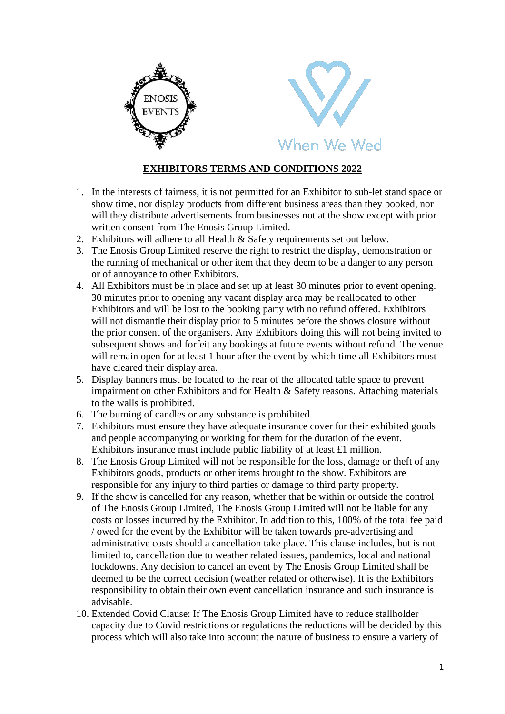

## **EXHIBITORS TERMS AND CONDITIONS 2022**

- 1. In the interests of fairness, it is not permitted for an Exhibitor to sub-let stand space or show time, nor display products from different business areas than they booked, nor will they distribute advertisements from businesses not at the show except with prior written consent from The Enosis Group Limited.
- 2. Exhibitors will adhere to all Health & Safety requirements set out below.
- 3. The Enosis Group Limited reserve the right to restrict the display, demonstration or the running of mechanical or other item that they deem to be a danger to any person or of annoyance to other Exhibitors.
- 4. All Exhibitors must be in place and set up at least 30 minutes prior to event opening. 30 minutes prior to opening any vacant display area may be reallocated to other Exhibitors and will be lost to the booking party with no refund offered. Exhibitors will not dismantle their display prior to 5 minutes before the shows closure without the prior consent of the organisers. Any Exhibitors doing this will not being invited to subsequent shows and forfeit any bookings at future events without refund. The venue will remain open for at least 1 hour after the event by which time all Exhibitors must have cleared their display area.
- 5. Display banners must be located to the rear of the allocated table space to prevent impairment on other Exhibitors and for Health & Safety reasons. Attaching materials to the walls is prohibited.
- 6. The burning of candles or any substance is prohibited.
- 7. Exhibitors must ensure they have adequate insurance cover for their exhibited goods and people accompanying or working for them for the duration of the event. Exhibitors insurance must include public liability of at least £1 million.
- 8. The Enosis Group Limited will not be responsible for the loss, damage or theft of any Exhibitors goods, products or other items brought to the show. Exhibitors are responsible for any injury to third parties or damage to third party property.
- 9. If the show is cancelled for any reason, whether that be within or outside the control of The Enosis Group Limited, The Enosis Group Limited will not be liable for any costs or losses incurred by the Exhibitor. In addition to this, 100% of the total fee paid / owed for the event by the Exhibitor will be taken towards pre-advertising and administrative costs should a cancellation take place. This clause includes, but is not limited to, cancellation due to weather related issues, pandemics, local and national lockdowns. Any decision to cancel an event by The Enosis Group Limited shall be deemed to be the correct decision (weather related or otherwise). It is the Exhibitors responsibility to obtain their own event cancellation insurance and such insurance is advisable.
- 10. Extended Covid Clause: If The Enosis Group Limited have to reduce stallholder capacity due to Covid restrictions or regulations the reductions will be decided by this process which will also take into account the nature of business to ensure a variety of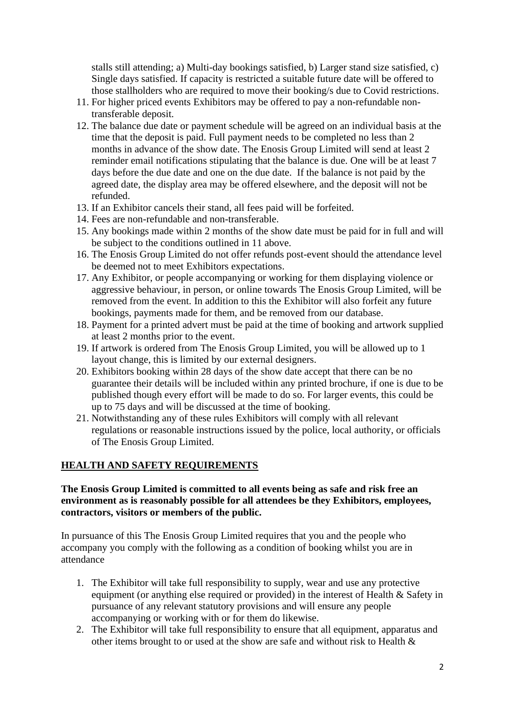stalls still attending; a) Multi-day bookings satisfied, b) Larger stand size satisfied, c) Single days satisfied. If capacity is restricted a suitable future date will be offered to those stallholders who are required to move their booking/s due to Covid restrictions.

- 11. For higher priced events Exhibitors may be offered to pay a non-refundable nontransferable deposit.
- 12. The balance due date or payment schedule will be agreed on an individual basis at the time that the deposit is paid. Full payment needs to be completed no less than 2 months in advance of the show date. The Enosis Group Limited will send at least 2 reminder email notifications stipulating that the balance is due. One will be at least 7 days before the due date and one on the due date. If the balance is not paid by the agreed date, the display area may be offered elsewhere, and the deposit will not be refunded.
- 13. If an Exhibitor cancels their stand, all fees paid will be forfeited.
- 14. Fees are non-refundable and non-transferable.
- 15. Any bookings made within 2 months of the show date must be paid for in full and will be subject to the conditions outlined in 11 above.
- 16. The Enosis Group Limited do not offer refunds post-event should the attendance level be deemed not to meet Exhibitors expectations.
- 17. Any Exhibitor, or people accompanying or working for them displaying violence or aggressive behaviour, in person, or online towards The Enosis Group Limited, will be removed from the event. In addition to this the Exhibitor will also forfeit any future bookings, payments made for them, and be removed from our database.
- 18. Payment for a printed advert must be paid at the time of booking and artwork supplied at least 2 months prior to the event.
- 19. If artwork is ordered from The Enosis Group Limited, you will be allowed up to 1 layout change, this is limited by our external designers.
- 20. Exhibitors booking within 28 days of the show date accept that there can be no guarantee their details will be included within any printed brochure, if one is due to be published though every effort will be made to do so. For larger events, this could be up to 75 days and will be discussed at the time of booking.
- 21. Notwithstanding any of these rules Exhibitors will comply with all relevant regulations or reasonable instructions issued by the police, local authority, or officials of The Enosis Group Limited.

## **HEALTH AND SAFETY REQUIREMENTS**

## **The Enosis Group Limited is committed to all events being as safe and risk free an environment as is reasonably possible for all attendees be they Exhibitors, employees, contractors, visitors or members of the public.**

In pursuance of this The Enosis Group Limited requires that you and the people who accompany you comply with the following as a condition of booking whilst you are in attendance

- 1. The Exhibitor will take full responsibility to supply, wear and use any protective equipment (or anything else required or provided) in the interest of Health & Safety in pursuance of any relevant statutory provisions and will ensure any people accompanying or working with or for them do likewise.
- 2. The Exhibitor will take full responsibility to ensure that all equipment, apparatus and other items brought to or used at the show are safe and without risk to Health &